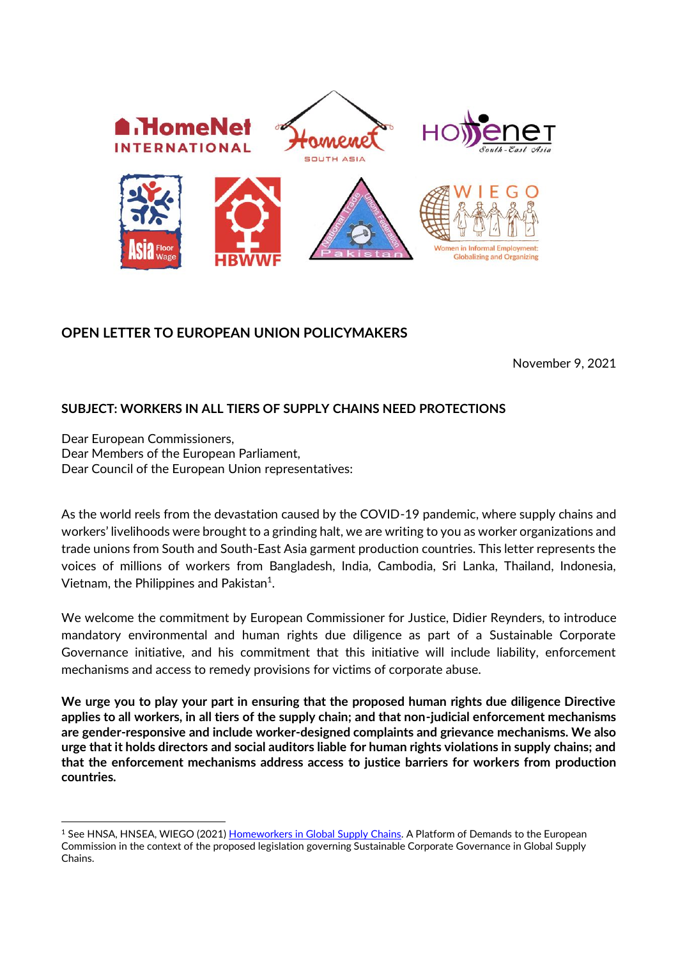

## **OPEN LETTER TO EUROPEAN UNION POLICYMAKERS**

November 9, 2021

## **SUBJECT: WORKERS IN ALL TIERS OF SUPPLY CHAINS NEED PROTECTIONS**

Dear European Commissioners, Dear Members of the European Parliament, Dear Council of the European Union representatives:

As the world reels from the devastation caused by the COVID-19 pandemic, where supply chains and workers' livelihoods were brought to a grinding halt, we are writing to you as worker organizations and trade unions from South and South-East Asia garment production countries. This letter represents the voices of millions of workers from Bangladesh, India, Cambodia, Sri Lanka, Thailand, Indonesia, Vietnam, the Philippines and Pakistan<sup>1</sup>.

We welcome the commitment by European Commissioner for Justice, Didier Reynders, to introduce mandatory environmental and human rights due diligence as part of a Sustainable Corporate Governance initiative, and his commitment that this initiative will include liability, enforcement mechanisms and access to remedy provisions for victims of corporate abuse.

**We urge you to play your part in ensuring that the proposed human rights due diligence Directive applies to all workers, in all tiers of the supply chain; and that non-judicial enforcement mechanisms are gender-responsive and include worker-designed complaints and grievance mechanisms. We also urge that it holds directors and social auditors liable for human rights violations in supply chains; and that the enforcement mechanisms address access to justice barriers for workers from production countries.** 

<sup>1</sup> See HNSA, HNSEA, WIEGO (2021) [Homeworkers in Global Supply Chains.](https://www.wiego.org/sites/default/files/resources/file/HNSA_HNSEA_WIEGO_EUPlatform.pdf) A Platform of Demands to the European Commission in the context of the proposed legislation governing Sustainable Corporate Governance in Global Supply Chains.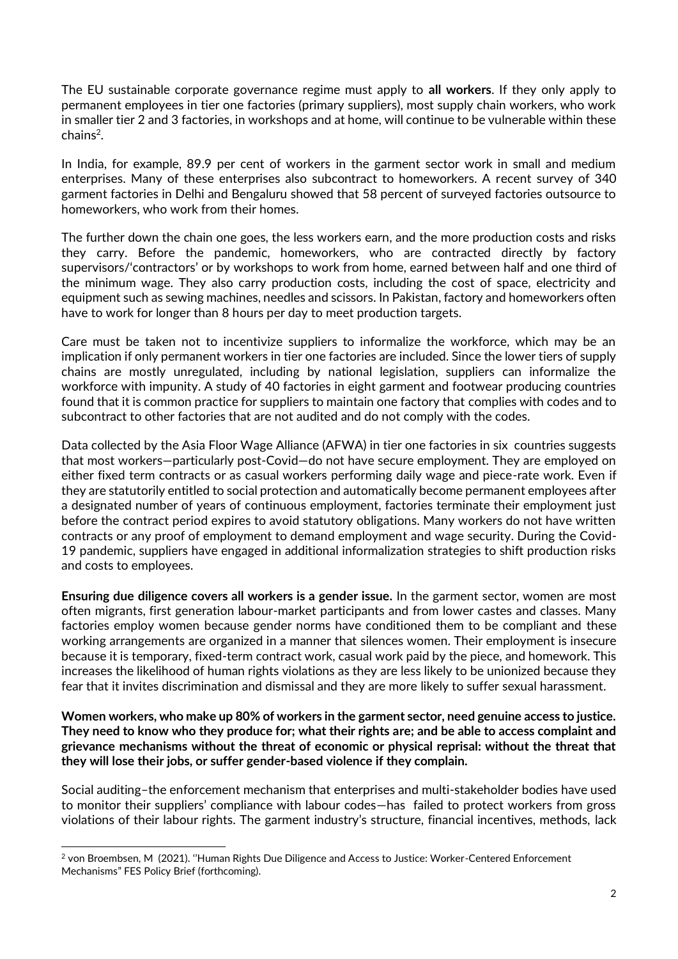The EU sustainable corporate governance regime must apply to **all workers**. If they only apply to permanent employees in tier one factories (primary suppliers), most supply chain workers, who work in smaller tier 2 and 3 factories, in workshops and at home, will continue to be vulnerable within these chains<sup>2</sup>.

In India, for example, 89.9 per cent of workers in the garment sector work in small and medium enterprises. Many of these enterprises also subcontract to homeworkers. A recent survey of 340 garment factories in Delhi and Bengaluru showed that 58 percent of surveyed factories outsource to homeworkers, who work from their homes.

The further down the chain one goes, the less workers earn, and the more production costs and risks they carry. Before the pandemic, homeworkers, who are contracted directly by factory supervisors/'contractors' or by workshops to work from home, earned between half and one third of the minimum wage. They also carry production costs, including the cost of space, electricity and equipment such as sewing machines, needles and scissors. In Pakistan, factory and homeworkers often have to work for longer than 8 hours per day to meet production targets.

Care must be taken not to incentivize suppliers to informalize the workforce, which may be an implication if only permanent workers in tier one factories are included. Since the lower tiers of supply chains are mostly unregulated, including by national legislation, suppliers can informalize the workforce with impunity. A study of 40 factories in eight garment and footwear producing countries found that it is common practice for suppliers to maintain one factory that complies with codes and to subcontract to other factories that are not audited and do not comply with the codes.

Data collected by the Asia Floor Wage Alliance (AFWA) in tier one factories in six countries suggests that most workers—particularly post-Covid—do not have secure employment. They are employed on either fixed term contracts or as casual workers performing daily wage and piece-rate work. Even if they are statutorily entitled to social protection and automatically become permanent employees after a designated number of years of continuous employment, factories terminate their employment just before the contract period expires to avoid statutory obligations. Many workers do not have written contracts or any proof of employment to demand employment and wage security. During the Covid-19 pandemic, suppliers have engaged in additional informalization strategies to shift production risks and costs to employees.

**Ensuring due diligence covers all workers is a gender issue.** In the garment sector, women are most often migrants, first generation labour-market participants and from lower castes and classes. Many factories employ women because gender norms have conditioned them to be compliant and these working arrangements are organized in a manner that silences women. Their employment is insecure because it is temporary, fixed-term contract work, casual work paid by the piece, and homework. This increases the likelihood of human rights violations as they are less likely to be unionized because they fear that it invites discrimination and dismissal and they are more likely to suffer sexual harassment.

**Women workers, who make up 80% of workers in the garment sector, need genuine access to justice. They need to know who they produce for; what their rights are; and be able to access complaint and grievance mechanisms without the threat of economic or physical reprisal: without the threat that they will lose their jobs, or suffer gender-based violence if they complain.** 

Social auditing–the enforcement mechanism that enterprises and multi-stakeholder bodies have used to monitor their suppliers' compliance with labour codes—has failed to protect workers from gross violations of their labour rights. The garment industry's structure, financial incentives, methods, lack

<sup>2</sup> von Broembsen, M (2021). ''Human Rights Due Diligence and Access to Justice: Worker-Centered Enforcement Mechanisms" FES Policy Brief (forthcoming).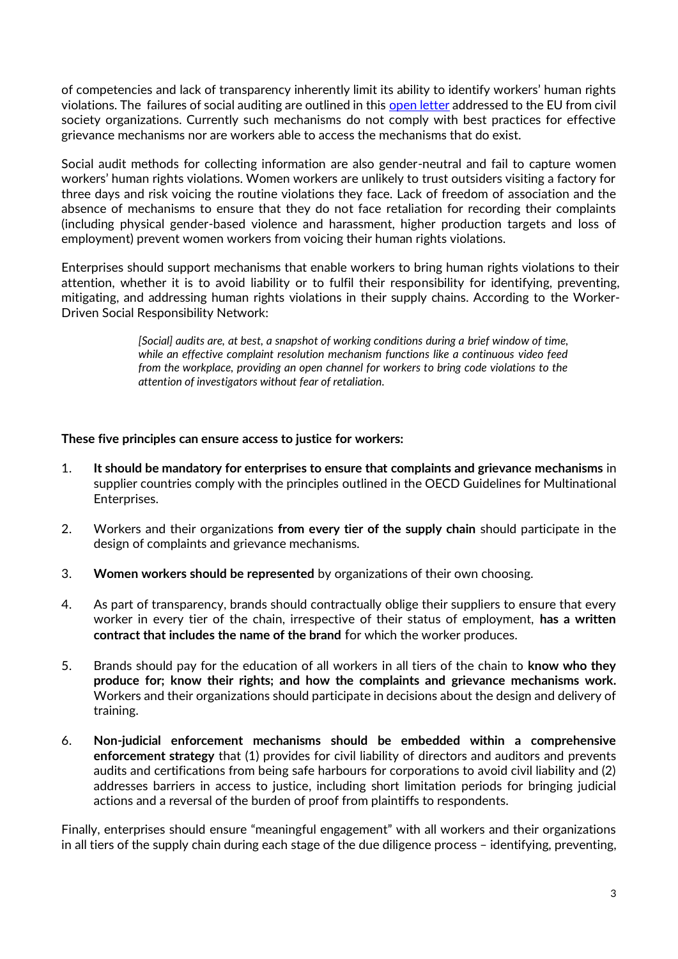of competencies and lack of transparency inherently limit its ability to identify workers' human rights violations. The failures of social auditing are outlined in thi[s open letter](https://corporatejustice.org/wp-content/uploads/2021/09/Social-auditing_Open-letter-to-EU-policymakers_Final_130921.pdf) addressed to the EU from civil society organizations. Currently such mechanisms do not comply with best practices for effective grievance mechanisms nor are workers able to access the mechanisms that do exist.

Social audit methods for collecting information are also gender-neutral and fail to capture women workers' human rights violations. Women workers are unlikely to trust outsiders visiting a factory for three days and risk voicing the routine violations they face. Lack of freedom of association and the absence of mechanisms to ensure that they do not face retaliation for recording their complaints (including physical gender-based violence and harassment, higher production targets and loss of employment) prevent women workers from voicing their human rights violations.

Enterprises should support mechanisms that enable workers to bring human rights violations to their attention, whether it is to avoid liability or to fulfil their responsibility for identifying, preventing, mitigating, and addressing human rights violations in their supply chains. According to the Worker-Driven Social Responsibility Network:

> *[Social] audits are, at best, a snapshot of working conditions during a brief window of time, while an effective complaint resolution mechanism functions like a continuous video feed from the workplace, providing an open channel for workers to bring code violations to the attention of investigators without fear of retaliation.*

## **These five principles can ensure access to justice for workers:**

- 1. **It should be mandatory for enterprises to ensure that complaints and grievance mechanisms** in supplier countries comply with the principles outlined in the OECD Guidelines for Multinational Enterprises.
- 2. Workers and their organizations **from every tier of the supply chain** should participate in the design of complaints and grievance mechanisms.
- 3. **Women workers should be represented** by organizations of their own choosing.
- 4. As part of transparency, brands should contractually oblige their suppliers to ensure that every worker in every tier of the chain, irrespective of their status of employment, **has a written contract that includes the name of the brand** for which the worker produces.
- 5. Brands should pay for the education of all workers in all tiers of the chain to **know who they produce for; know their rights; and how the complaints and grievance mechanisms work.** Workers and their organizations should participate in decisions about the design and delivery of training.
- 6. **Non-judicial enforcement mechanisms should be embedded within a comprehensive enforcement strategy** that (1) provides for civil liability of directors and auditors and prevents audits and certifications from being safe harbours for corporations to avoid civil liability and (2) addresses barriers in access to justice, including short limitation periods for bringing judicial actions and a reversal of the burden of proof from plaintiffs to respondents.

Finally, enterprises should ensure "meaningful engagement" with all workers and their organizations in all tiers of the supply chain during each stage of the due diligence process – identifying, preventing,